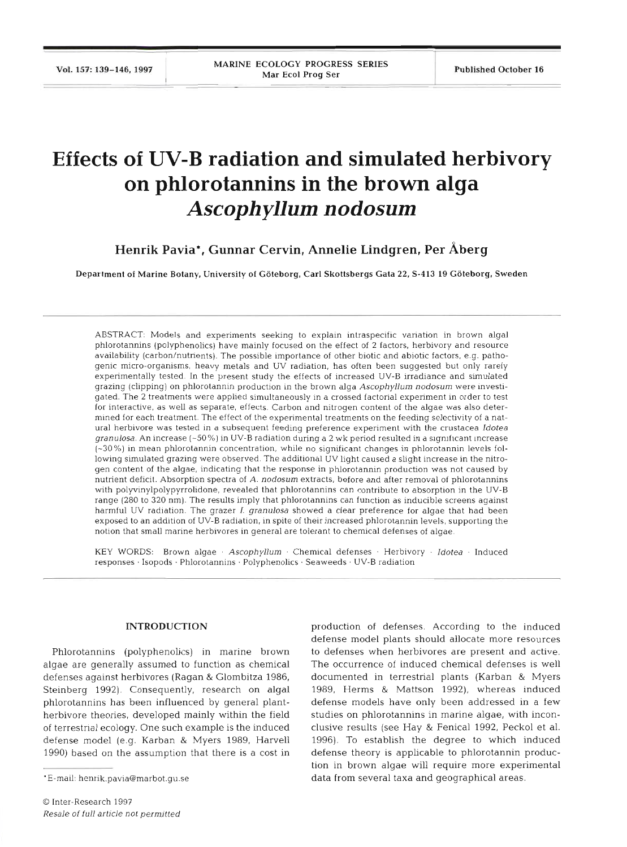# **Effects of UV-B radiation and simulated herbivory on phlorotannins in the brown alga**  *Ascophyllum nodosum*

**Henrik Pavia\*, Gunnar Cervin, Annelie Lindgren, Per Aberg** 

Department of Marine Botany, University of Goteborg, Car1 Skottsbergs Gata 22, **S-413 19** Goteborg, Sweden

ABSTRACT: Models and experiments seeking to explain intraspecific variation in brown algal phlorotannins (polyphenolics) have mainly focused on the effect of 2 factors, herbivory and resource availability (carbon/nutrients). The possible importance of other biotic and abiotic factors, e.g. pathogenic micro-organisms, heavy metals and UV radiation, has often been suggested but only rarely experimentally tested. In the present study the effects of increased UV-B irradiance and simulated grazing (clipping) on phlorotannin production in the brown alga *Ascophyllum nodosum* were investigated. The **2** treatments were applied simultaneously in a crossed factorial experiment in order to test for interactive, as well as separate, effects. Carbon and nitrogen content of the algae was also determined for each treatment. The effect of the experimental treatments on the feeding selectivity of a natural herbivore was tested in a subsequent feeding preference experiment with the crustacea *Idotea granulosa.* An increase  $(-50\%)$  in UV-B radiation during a 2 wk period resulted in a significant increase (-30%) in mean phlorotannin concentration, while no significant changes in phlorotannin levels following simulated grazing were observed. The additional UV light caused a slight increase in the nitrogen content of the algae, indicating that the response in phlorotannin production was not caused by nutrient deficit. Absorption spectra of *A. nodosum* extracts, before and after removal of phlorotannins with polyvinylpolypyrrolidone, revealed that phlorotannins can contribute to absorption in the UV-B range (280 to **320** nm). The results imply that phlorotannins can function as inducible screens against harmful UV radiation. The grazer *I. granulosa* showed a clear preference for algae that had been exposed to an addition of UV-B radiation, in spite of their increased phlorotannin levels, supporting the notion that small marine herbivores in general are tolerant to chemical defenses of algae.

KEY WORDS: Brown algae . *Ascophyllum* . Chemical defenses . Herbivory . *Idotea* . Induced responses . Isopods . Phlorotannins . Polyphenolics . Seaweeds . UV-B radiation

## **INTRODUCTION**

Phlorotannins (polyphenolics) in marine brown algae are generally assumed to function as chemical defenses against herbivores (Ragan & Glombitza 1986, Steinberg 1992). Consequently, research on algal phlorotannins has been influenced by general plantherbivore theories, developed mainly within the field of terrestrial ecology. One such example is the induced defense model (e.g. Karban & Myers 1989, Harvell 1990) based on the assumption that there is a cost in

production of defenses. According to the induced defense model plants should allocate more resources to defenses when herbivores are present and active. The occurrence of induced chemical defenses is well documented in terrestrial plants (Karban & Myers 1989, Herms & Mattson 1992), whereas induced defense models have only been addressed in a few studies on phlorotannins in marine algae, with inconclusive results (see Hay & Fenical 1992, Peck01 et al. 1996). To establish the degree to which induced defense theory is applicable to phlorotannin production in brown algae will require more experimental data from several taxa and geographical areas.

<sup>\*</sup>E-mail: henrik.pavia@marbot.gu.se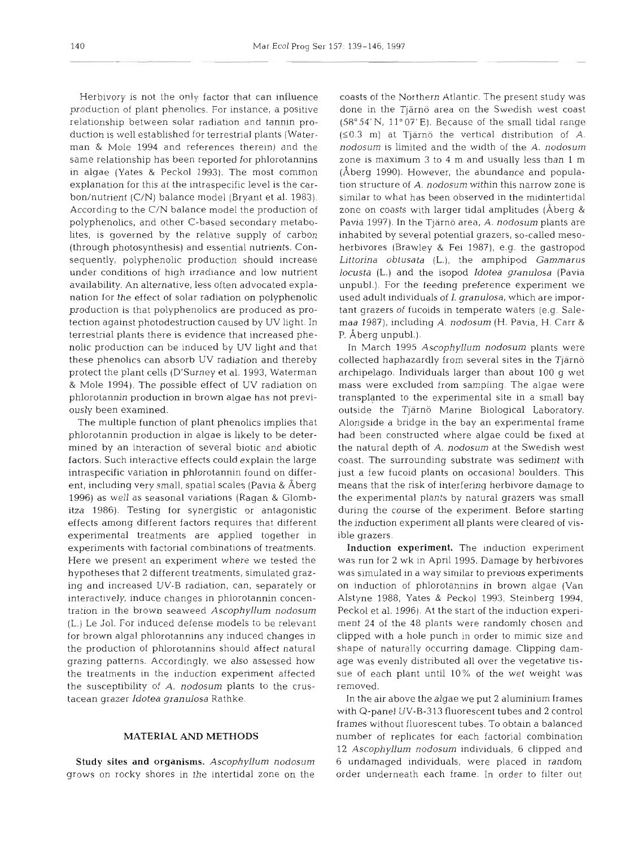Herbivory is not the only factor that can influence production of plant phenolics. For instance, a positive relationship between solar radiation and tannin production is well established for terrestrial plants (Waterman & Mole 1994 and references therein) and the same relationship has been reported for phlorotannins in algae (Yates & Peckol 1993). The most common explanation for this at the intraspecific level is the carbon/nutrient (C/N) balance model (Bryant et al. 1983). According to the C/N balance model the production of polyphenolics, and other C-based secondary metabolites, is governed by the relative supply of carbon (through photosynthesis) and essential nutrients. Consequently, polyphenolic production should increase under conditions of high irradiance and low nutrient availability. An alternative, less often advocated explanation for the effect of solar radiation on polyphenolic production is that polyphenolics are produced as protection against photodestruction caused by UV light. In terrestrial plants there is evidence that increased phenolic production can be induced by UV light and that these phenolics can absorb UV radiation and thereby protect the plant cells (D'Surney et al. 1993, Waterman & Mole 1994). The possible effect of UV radiation on phlorotannin production in brown algae has not previously been examined.

The multiple function of plant phenolics implies that phlorotannin production in algae is likely to be determined by an interaction of several biotic and abiotic factors. Such interactive effects could explain the large intraspecific variation in phlorotannin found on different, including very small, spatial scales (Pavia & Aberg 1996) as well as seasonal variations (Ragan & Glombitza 1986). Testing for synergistic or antagonistic effects among different factors requires that different experimental treatments are applied together in experiments with factorial combinations of treatments. Here we present an experiment where we tested the hypotheses that 2 different treatments, simulated grazing and increased UV-B radiation, can, separately or interactively, induce changes in phlorotannin concentration in the brown seaweed *Ascophyllum nodosum*  (L.) Le Jol. For induced defense models to be relevant for brown algal phlorotannins any induced changes in the production of phlorotannins should affect natural grazing patterns. Accordingly, we also assessed how the treatments in the induction experiment affected the susceptibility of A, *nodosum* plants to the crustacean grazer *Idotea granulosa* Rathke.

### MATERIAL AND METHODS

Study sites and organisms. *Ascophyllum nodosum*  grows on rocky shores in the intertidal zone on the coasts of the Northern Atlantic. The present study was done in the Tjärnö area on the Swedish west coast (58" 54' N, 11" 07' E). Because of the small tidal range  $(50.3 \text{ m})$  at Tjärnö the vertical distribution of A. *nodosum* is limited and the width of the *A. nodosum*  zone is maximum 3 to 4 m and usually less than 1 m (Aberg 1990). However, the abundance and population structure of A, *nodosum* within this narrow zone is similar to what has been observed in the midintertidal zone on coasts with larger tidal amplitudes (Aberg & Pavia 1997). In the Tjärnö area, *A. nodosum* plants are inhabited by several potential grazers, so-called mesoherbivores (Brawley & Fei 1987), e.g. the gastropod *Littorina obtusata* (L.), the amphipod *Gammarus locusta* (L.) and the isopod *Idotea granulosa* (Pavia unpubl.). For the feeding preference experiment we used adult individuals of I. *granulosa,* which are important grazers of fucoids in temperate waters (e.g. Salemaa 1987), including *A. nodosum* (H. Pavia, H. Carr & P. Aberg unpubl.).

In March 1995 *Ascophyllum nodosum* plants were collected haphazardly from several sites in the Tjärnö archipelago. Individuals larger than about 100 g wet mass were excluded from sampling. The algae were transplanted to the experimental site in a small bay outside the Tjarno Marine Biological Laboratory. Alongside a bridge in the bay an experimental frame had been constructed where algae could be fixed at the natural depth of *A. nodosum* at the Swedish west coast. The surrounding substrate was sediment with just a few fucoid plants on occasional boulders. This means that the risk of interfering herbivore damage to the experimental plants by natural grazers was small during the course of the experiment. Before starting the induction experiment all plants were cleared of visible grazers.

Induction experiment. The induction experiment was run for 2 wk in April 1995. Damage by herbivores was simulated in a way similar to previous experiments on induction of phlorotannins in brown algae (Van Alstyne 1988, Yates & Peckol 1993, Steinberg 1994, Peckol et al. 1996). At the start of the induction experiment 24 of the 48 plants were randomly chosen and clipped with a hole punch in order to mimic size and shape of naturally occurring damage. Clipping damage was evenly distnbuted all over the vegetative tissue of each plant until 10% of the wet weight was removed.

1n the air above the algae we put 2 aluminium frames with Q-panel UV-B-313 fluorescent tubes and 2 control frames without fluorescent tubes. To obtain a balanced number of replicates for each factorial combination <sup>12</sup>*Ascophyllum nodosum* individuals, *6* clipped and 6 undamaged individuals, were placed in random order underneath each frame. In order to filter out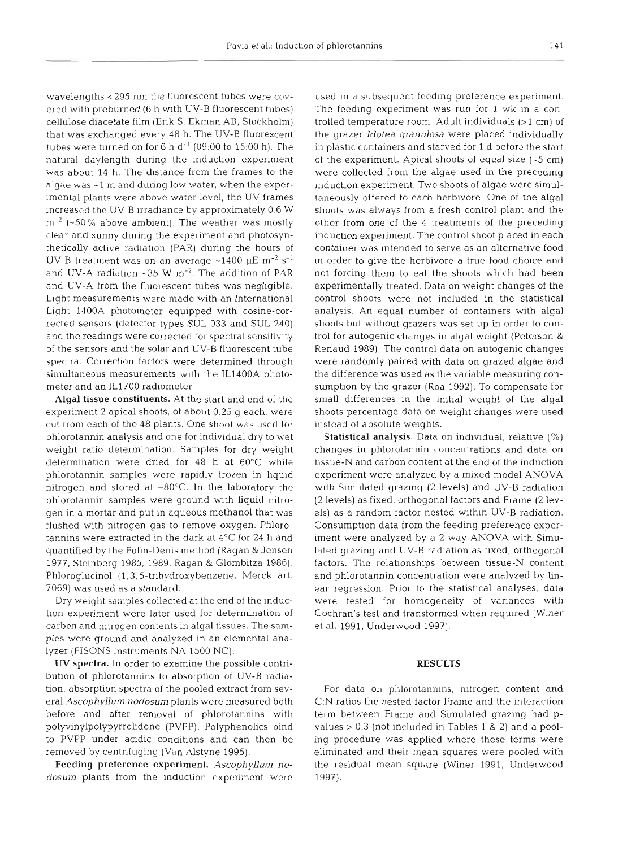wavelengths c295 nm the fluorescent tubes were covered with preburned (6 h with UV-B fluorescent tubes) cellulose diacetate film (Erik S. Ekman AB, Stockholm) that was exchanged every 48 h. The UV-B fluorescent tubes were turned on for  $6 \text{ h d}^{-1}$  (09:00 to 15:00 h). The natural daylength during the induction experiment was about 14 h. The distance from the frames to the algae was -1 m and during low water, when the experimental plants were above water level, the UV frames increased the UV-B irradiance by approximately 0.6 W  $m^{-2}$  (~50% above ambient). The weather was mostly clear and sunny during the experiment and photosynthetically active radiation (PAR) during the hours of UV-B treatment was on an average  $\sim$ 1400 µE m<sup>-2</sup> s<sup>-1</sup> and UV-A radiation  $\sim$ 35 W m<sup>-2</sup>. The addition of PAF and UV-A from the fluorescent tubes was negligible. Light measurements were made with an International Light 1400A photometer equipped with cosine-corrected sensors (detector types SUL *033* and SUL 240) and the readings were corrected for spectral sensitivity of the sensors and the solar and UV-B fluorescent tube spectra. Correction factors were determined through simultaneous measurements with the IL1400A photometer and an IL1700 radiometer.

Algal tissue constituents. At the start and end of the experiment 2 apical shoots, of about 0.25 g each, were cut from each of the 48 plants. One shoot was used for phlorotannin analysis and one for individual dry to wet weight ratio determination. Samples for dry weight determination were dried for 48 h at 60°C while phlorotannin samples were rapidly frozen in liquid nitrogen and stored at  $-80^{\circ}$ C. In the laboratory the phlorotannin samples were ground with liquid nitrogen in a mortar and put in aqueous methanol that was flushed with nitrogen gas to remove oxygen. Phlorotannins were extracted in the dark at 4°C for 24 h and quantified by the Folin-Denis method (Ragan & Jensen 1977, Steinberg 1985, 1989, Ragan & Glombitza 1986). Phloroglucinol **(1,3,5-tnhydroxybenzene,** Merck art. 7069) was used as a standard.

Dry weight samples collected at the end of the induction experiment were later used for determination of carbon and nitrogen contents in algal tissues. The samples were ground and analyzed in an elemental analyzer (FISONS Instruments NA 1500 NC).

UV spectra. In order to examine the possible contribution of phlorotannins to absorption of UV-B radiation, absorption spectra of the pooled extract from several Ascophyllum nodosum plants were measured both before and after removal of phlorotannins with polyvinylpolypyrrolidone (PVPP). Polyphenolics bind to PVPP under acidic conditions and can then be removed by centrifuging (Van Alstyne 1995).

Feeding preference experiment. Ascophyllum *nodosum* plants from the induction experiment were

used in a subsequent feeding preference experiment. The feeding experiment was run for 1 wk in a controlled temperature room. Adult individuals (> 1 cm) of the grazer Idotea granulosa were placed individually in plastic containers and starved for 1 d before the start of the experiment. Apical shoots of equal size  $(-5 \text{ cm})$ were collected from the algae used in the preceding induction experiment. Two shoots of algae were simultaneously offered to each herbivore. One of the algal shoots was always from a fresh control plant and the other from one of the 4 treatments of the preceding induction experiment. The control shoot placed in each container was intended to serve as an alternative food in order to give the herbivore a true food choice and not forcing them to eat the shoots which had been experimentally treated. Data on weight changes of the control shoots were not included in the statistical analysis. An equal number of containers with algal shoots but without grazers was set up in order to control for autogenic changes in algal weight (Peterson & Renaud 1989). The control data on autogenic changes were randomly paired with data on grazed algae and the difference was used as the variable measuring consumption by the grazer (Roa 1992). To compensate for small differences in the initial weight of the algal shoots percentage data on weight changes were used instead of absolute weights.

Statistical analysis. Data on individual, relative (%) changes in phlorotannin concentrations and data on tissue-N and carbon content at the end of the induction experiment were analyzed by a mixed model ANOVA with Simulated grazing (2 levels) and UV-B radiation (2 levels) as fixed, orthogonal factors and Frame (2 levels) as a random factor nested within UV-B radiation. Consumption data from the feeding preference experiment were analyzed by a 2 way ANOVA with Simulated grazing and UV-B radiation as fixed, orthogonal factors. The relationships between tissue-N content and phlorotannin concentration were analyzed by linear regression. Prior to the statistical analyses, data were tested for homogeneity of variances with Cochran's test and transformed when required (Winer et al. 1991, Underwood 1997).

#### RESULTS

For data on phlorotannins, nitrogen content and C:N ratios the nested factor Frame and the interaction term between Frame and Simulated grazing had pvalues > 0.3 (not included in Tables 1 & 2) and a pooling procedure was applied where these terms were eliminated and their mean squares were pooled with the residual mean square (Winer 1991, Underwood 1997).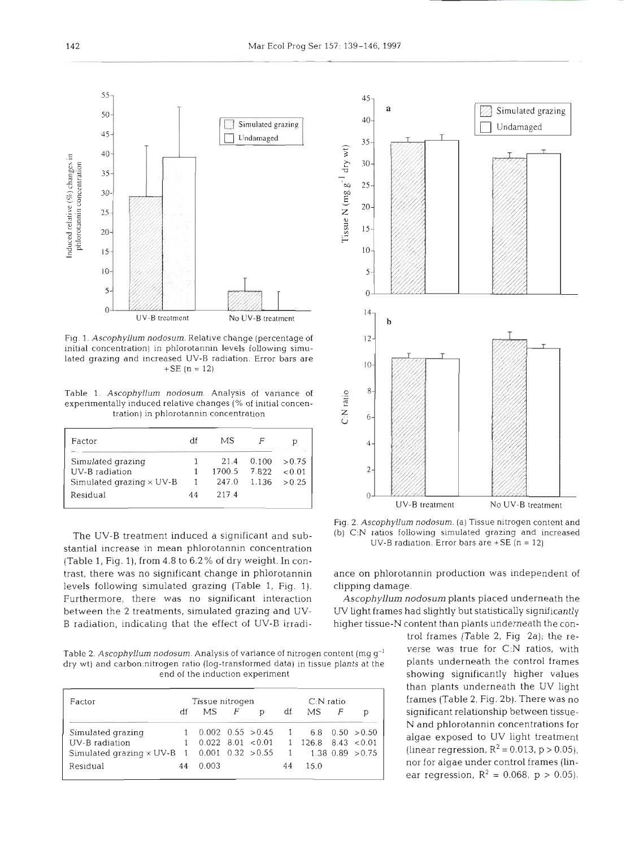

Fig. 1. Ascophyllum nodosum. Relative change (percentage of hitial concentration) in phlorotannin levels following simulated grazing and increased UV-B radiation. Error bars are  $+SE (n = 12)$ 

Table 1. Ascophyllum nodosum. Analysis of variance of experimentally induced relative changes (% of initial concentration) in phlorotannin concentration

| Factor                          | df | МS    |                       |        |
|---------------------------------|----|-------|-----------------------|--------|
| Simulated grazing               |    | 21.4  | 0.100                 | > 0.75 |
| UV-B radiation                  |    |       | $1700.5$ 7.822 < 0.01 |        |
| Simulated grazing $\times$ UV-B |    | 247.0 | 1.136                 | > 0.25 |
| Residual                        | 44 | 2174  |                       |        |

The UV-B treatment induced a significant and substantial increase in mean phlorotannin concentration (Table l, Fig. l), from 4.8 to 6.2% of dry weight. In contrast, there was no significant change in phlorotannin levels following simulated grazing (Table 1, Fig. **1).**  Furthermore, there was no significant interaction between the 2 treatments, simulated grazing and UV-B radiation, indicating that the effect of UV-B irradi-

Table 2. Ascophyllum nodosum. Analysis of variance of nitrogen content (mg  $g^{-1}$  verse was true for C:N ratios, with dry wt) and carbon:nitrogen ratio (log-transformed data) in tissue plants at the plants underneath the dry wt) and carbon:nitrogen ratio (log-transformed data) in tissue plants at the end of the induction experiment showing significantly higher values

| Factor                            | Tissue nitrogen |                        |   | $C: N$ ratio           |    |                                         |  |                     |
|-----------------------------------|-----------------|------------------------|---|------------------------|----|-----------------------------------------|--|---------------------|
|                                   | df              | MS.                    | F | D                      | df | МS                                      |  |                     |
| Simulated grazing                 |                 |                        |   | $0.002$ $0.55$ $>0.45$ | 1  |                                         |  | 6.8 $0.50 > 0.50$   |
| UV-B radiation                    |                 |                        |   |                        |    | $0.022$ 8.01 < 0.01 1 126.8 8.43 < 0.01 |  |                     |
| Simulated grazing $\times$ UV-B 1 |                 | $0.001$ $0.32$ $>0.55$ |   |                        |    |                                         |  | $1.38$ 0.89 $>0.75$ |
| Residual                          | 44              | 0.003                  |   |                        | 44 | 15.0                                    |  |                     |



Fig. 2. Ascophyllum nodosum. (a) Tissue nitrogen content and<br>
(b) C:N ratios following simulated grazing and increased<br>
UV-B radiation. Error bars are +SE (n = 12)<br>
ance on phlorotannin production was independent of<br>
clip

*Ascophyllum* nodosum plants placed underneath the W light frames had slightly but statistically significantly higher tissue-N content than plants underneath the con-

trol frames (Table 2, Fig 2a); the rethan plants underneath the UV light nor for algae under control frames (lin-<br>ear regression,  $R^2 = 0.068$ ,  $p > 0.05$ ). frames (Table **2,** Fig. 2b). There was no significant relationship between tissue-N and phlorotannin concentrations for algae exposed to UV light treatment (linear regression,  $R^2 = 0.013$ ,  $p > 0.05$ ),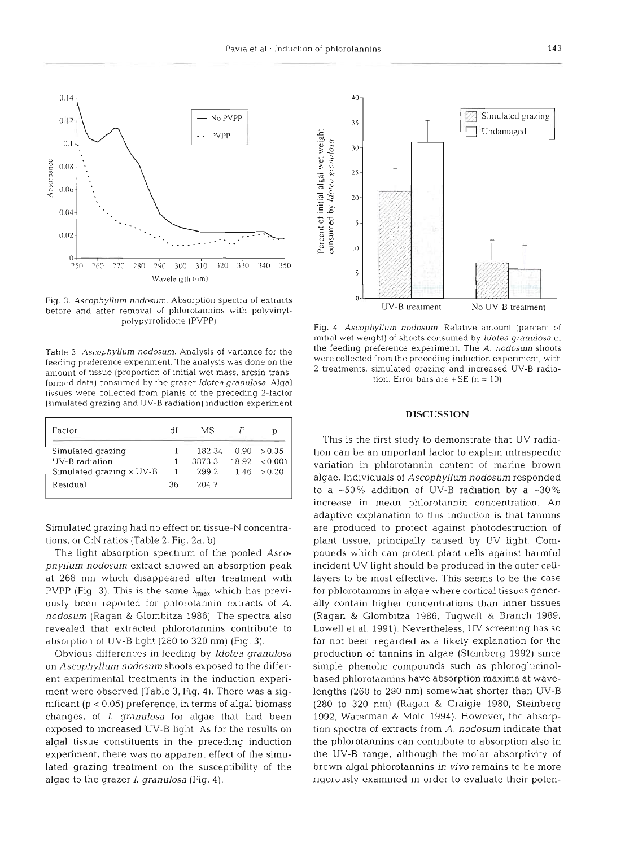

Fig. **3.** *Ascophyllum nodosum.* Absorption spectra of extracts before and after removal of phlorotannins with polyvinylpolypyrrolidone (PVPP)

Table **3.** *Ascophyllum nodosum.* Analysis of variance for the feeding preference experiment. The analysis was done on the amount of tissue (proportion of initial wet mass, arcsin-transformed data) consumed by the grazer *Idotea granulosa.* Algal tissues were collected from plants of the preceding 2-factor (simulated grazing and UV-B radiation) induction expenment

| Factor                          | df | МS     |       | D           |
|---------------------------------|----|--------|-------|-------------|
| Simulated grazing               |    | 182.34 | 0.90  | > 0.35      |
| UV-B radiation                  |    | 3873.3 | 18.92 | < 0.001     |
| Simulated grazing $\times$ UV-B |    | 299.2  |       | 1.46 > 0.20 |
| Residual                        | 36 | 204.7  |       |             |
|                                 |    |        |       |             |

Simulated grazing had no effect on tissue-N concentrations, or C:N ratios (Table 2, Fig. 2a, b).

The light absorption spectrum of the pooled *Ascophyllum nodosum* extract showed an absorption peak at 268 nm which disappeared after treatment with PVPP (Fig. 3). This is the same  $\lambda_{\text{max}}$  which has previously been reported for phlorotannin extracts of *A. nodosum* (Ragan & Glombitza 1986). The spectra also revealed that extracted phlorotannins contribute to absorption of UV-B light (280 to 320 nm) (Fig. 3).

Obvious differences in feeding by *Idotea granulosa*  on *Ascophyllum nodosum* shoots exposed to the different experimental treatments in the induction experiment were observed (Table 3, Fig. 4). There was a significant (p < 0.05) preference, in terms of algal biomass changes, of I. *granulosa* for algae that had been exposed to increased UV-B light. As for the results on algal tissue constituents in the preceding induction experiment, there was no apparent effect of the simulated grazing treatment on the susceptibility of the algae to the grazer I. *granulosa* (Fig. *4).* 



Fig. 4. *Ascophyllum nodosum.* Relative amount (percent of initial wet weight) of shoots consumed by *Idotea granulosa* in the feeding preference experiment. The *A. nodosurn* shoots were collected from the preceding induction experiment, with 2 treatments, simulated grazing and increased UV-B radiation. Error bars are  $+SE$  (n = 10)

#### **DISCUSSI**

This is the first study to demonstrate that UV radiation can be an important factor to explain intraspecific variation in phlorotannin content of marine brown algae. Individuals of *Ascophyllum nodosum* responded to a  $\sim$  50% addition of UV-B radiation by a  $\sim$  30% increase in mean phlorotannin concentration. An adaptive explanation to this induction is that tannins are produced to protect against photodestruction of plant tissue, principally caused by UV light. Compounds which can protect plant cells against harmful incident UV light should be produced in the outer celllayers to be most effective. This seems to be the case for phlorotannins in algae where cortical tissues generally contain higher concentrations than inner tissues (Ragan & Glombitza 1986, Tugwell & Branch 1989, Lowell et al. 1991). Nevertheless, UV screening has so far not been regarded as a likely explanation for the production of tannins in algae (Steinberg 1992) since simple phenolic compounds such as phloroglucinolbased phlorotannins have absorption maxima at wavelengths (260 to 280 nm) somewhat shorter than UV-B (280 to 320 nm) (Ragan & Craigie 1980, Steinberg 1992, Waterman & Mole 1994). However, the absorption spectra of extracts from *A, nodosum* indicate that the phlorotannins can contnbute to absorption also in the UV-B range, although the molar absorptivity of brown algal phlorotannins in *vjvo* remains to be more rigorously examined in order to evaluate their poten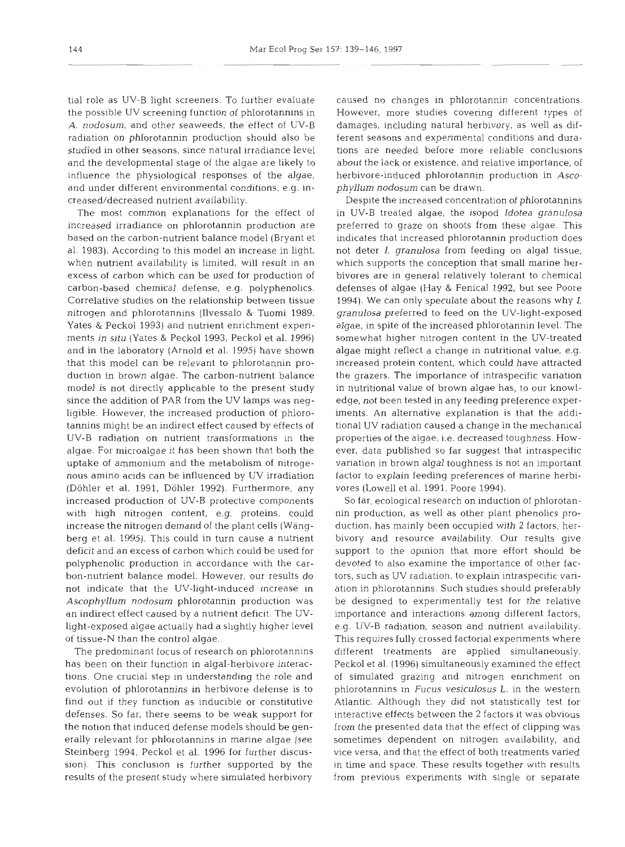tial role as UV-B llght screeners. To further evaluate the possible UV screening function of phlorotannins in A. *nodosum*, and other seaweeds, the effect of UV-B radiation on phlorotannin production should also be studied in other seasons, since natural irradiance level and the developmental stage of the algae are likely to influence the physiological responses of the algae, and under different environmental conditions, e.g. increased/decreased nutrient availability.

The most common explanations for the effect of increased irradiance on phlorotannin production are based on the carbon-nutrient balance model (Bryant et al. 1983). According to this model an increase in light, when nutrient availability is limited, will result in an excess of carbon which can be used for production of carbon-based chemical defense, e.g. polyphenolics. Correlative studies on the relationship between tissue nitrogen and phlorotannins (Ilvessalo & Tuomi 1989, Yates & Peckol 1993) and nutrient enrichment experiments in *situ* (Yates & Peckol 1993, Peckol et al. 1996) and in the laboratory (Arnold et al. 1995) have shown that this model can be relevant to phlorotannin production in brown algae. The carbon-nutrient balance model is not directly applicable to the present study since the addition of PAR from the UV lamps was negligible. However, the increased production of phlorotannins might be an indirect effect caused by effects of UV-B radiation on nutrient transformations in the algae. For microalgae it has been shown that both the uptake of ammonium and the metabolism of nitrogenous amino acids can be influenced by UV irradiation (Döhler et al. 1991, Döhler 1992). Furthermore, any increased production of UV-B protective components with high nitrogen content, e.g. proteins, could increase the nitrogen demand of the plant cells (Wangberg et al. 1995). This could in turn cause a nutrient deficit and an excess of carbon which could be used for polyphenolic production in accordance with the carbon-nutrient balance model. However, our results do not indicate that the UV-light-induced increase in *Ascophyllum nodosum* phlorotannin production was an indirect effect caused by a nutrient deficit. The UVlight-exposed algae actually had a slightly higher level of tissue-N than the control algae.

The predominant focus of research on phlorotannins has been on their function in algal-herbivore interactions. One crucial step in understanding the role and evolution of phlorotannins in herbivore defense is to find out if they function as inducible or constitutive defenses. So far, there seems to be weak support for the notion that induced defense models should be generally relevant for phlorotannins in marine algae (see Steinberg 1994, Peckol et al. 1996 for further discussion). This conclusion is further supported by the results of the present study where simulated herbivory

caused no changes in phlorotannin concentrations. However, more studies covering different types of damages, including natural herbivory, as well as different seasons and experimental conditions and durations are needed before more reliable conclusions about the lack or existence, and relative importance, of herbivore-induced phlorotannin production in *Ascophyllum nodosum* can be drawn.

Despite the increased concentration of phlorotannins in UV-B treated algae, the isopod *Idotea granulosa*  preferred to graze on shoots from these algae. This indicates that increased phlorotannin production does not deter *I. granulosa* from feeding on algal tissue, which supports the conception that small marine herbivores are in general relatively tolerant to chemical defenses of algae (Hay & Fenical 1992, but see Poore 1994). We can only speculate about the reasons why I. *granulosa* preferred to feed on the UV-light-exposed algae, in spite of the increased phlorotannin level. The somewhat higher nitrogen content in the UV-treated algae might reflect a change in nutritional value, e.g. increased protein content, which could have attracted the grazers. The importance of intraspecific variation in nutritional value of brown algae has, to our knowledge, not been tested in any feeding preference experiments. An alternative explanation is that the additional UV radiation caused a change in the mechanical properties of the algae, i.e. decreased toughness. However, data published so far suggest that intraspecific variation in brown algal toughness is not an important factor to explain feeding preferences of marine herbivores (Lowell et al. 1991, Poore 1994).

So far, ecological research on induction of phlorotannin production, as well as other plant phenolics production, has mainly been occupied with 2 factors, herbivory and resource availability. Our results give support to the opinion **that** more effort should be devoted to also examine the importance of other factors, such as UV radiation, to explain intraspecific variation in phlorotannins. Such studies should preferably be designed to experimentally test for the relative importance and interactions among different factors, e.g. UV-B radiation, season and nutrient availability. This requires fully crossed factorial experiments where different treatments are applied simultaneously. Peckol et al. (1996) simultaneously examined the effect of simulated grazing and nitrogen enrichment on phlorotannins in *Fucus vesiculosus* L. in the western Atlantic. Although they did not statistically test for interactive effects between the 2 factors it was obvious from the presented data that the effect of clipping was sometimes dependent on nitrogen availability, and vice versa, and that the effect of both treatments varied in time and space. These results together with results from previous experiments with single or separate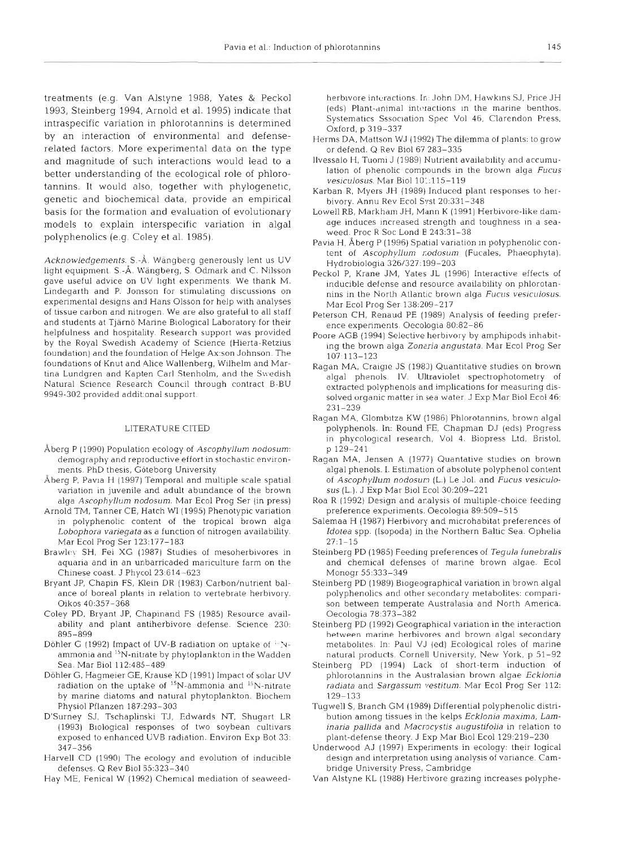treatments (e.g. Van Alstyne 1988, Yates & Peckol 1993, Steinberg 1994, Arnold et al. 1995) indicate that intraspecific variation in phlorotannins is determined by an interaction of environmental and defenserelated factors. More experimental data on the type and magnitude of such interactions would lead to a better understanding of the ecological role of phlorotannins. It would also, together with phylogenetic, genetic and biochemical data, provide an empirical basis for the formation and evaluation of evolutionary models to explain interspecific variation in algal polyphenolics (e.g. Coley et al. 1985).

Acknowledgements. S.- $\vec{A}$ . Wängberg generously lent us UV light equipment. S.-Å. Wängberg, S. Odmark and C. Nilsson gave useful advice on UV light experiments. We thank M. Lindegarth and P. Jonsson for stimulating discussions on experimental designs and Hans Olsson for help with analyses of tissue carbon and nitrogen We are also grateful to all staff and students at Tjärnö Marine Biological Laboratory for their helpfulness and hospitality. Research support was provided by the Royal Swedish Academy of Science (Hierta-Retzius foundation) and the foundation of Helge Ax:son Johnson. The foundations of Knut and Alice Wallenberg, Wilhelm and Martina Lundgren and Kapten Carl Stenholm, and the Swedish Natural Science Research Council through contract B-BU 9949-302 provided additional support.

#### LITERATURE CITED

- Åberg P (1990) Population ecology of Ascophyllum nodosum: demography and reproductive effort in stochastic environments. PhD thesis, Göteborg University
- Åberg P. Pavia H (1997) Temporal and multiple scale spatial variation in juvenile and adult abundance of the brown alga Ascophyllum nodosum. Mar Ecol Prog Ser (in press)
- Arnold TM, Tanner CE, Hatch WI (1995) Phenotypic variation in polyphenolic content of the tropical brown alga Lobophora variegata as a function of nitrogen availability. Mar Ecol Prog Ser 123 177-183
- Brawley SH, Fei XG (1987) Studies of mesoherbivores in aquaria and in an unbarricaded mariculture farm on the Chinese coast. J Phycol 23:614-623
- Bryant JP, Chapin FS, Klein DR (1983) Carbon/nutrient balance of boreal plants in relation to vertebrate herbivory. Oikos 40 357-368
- Coley PD, Bryant JP, Chapinand FS (1985) Resource availability and plant antiherbivore defense. Science 230: 895-899
- Döhler G (1992) Impact of UV-B radiation on uptake of  $N$ ammonia and <sup>15</sup>N-nitrate by phytoplankton in the Wadden Sea. Mar Biol 112:485-48
- Döhler G, Hagmeier GE, Krause KD (1991) Impact of solar UV radiation on the uptake of  $^{15}N$ -ammonia and  $^{15}N$ -nitrate by marine diatoms and natural phytoplankton. Biochem Physiol Pflanzen 187:293-303
- D'Surney SJ, Tschaplinski TJ, Edwards NT, Shugart LR (1993) Biological responses of two soybean cultivars exposed to enhanced UVB radiation. Environ Exp Bot 33: 347-356
- Harvell CD (1990) The ecology and evolution of inducible defenses. Q Rev Biol 65:323-340
- Hay ME, Fenical W (1992) Chemical mediation of seaweed-

- 
- 
- 
- 
- 
- 
- 
- 
- herboro interactions. In John DM. Hewkm SJ, Price JH<br>
System and an archivene in the matric benches special and and the matric benches and the matric benches and the special of the special special and the model of the spe
- 
- 
- 
- 
- 
- 
- 
- 
- 
- 
-